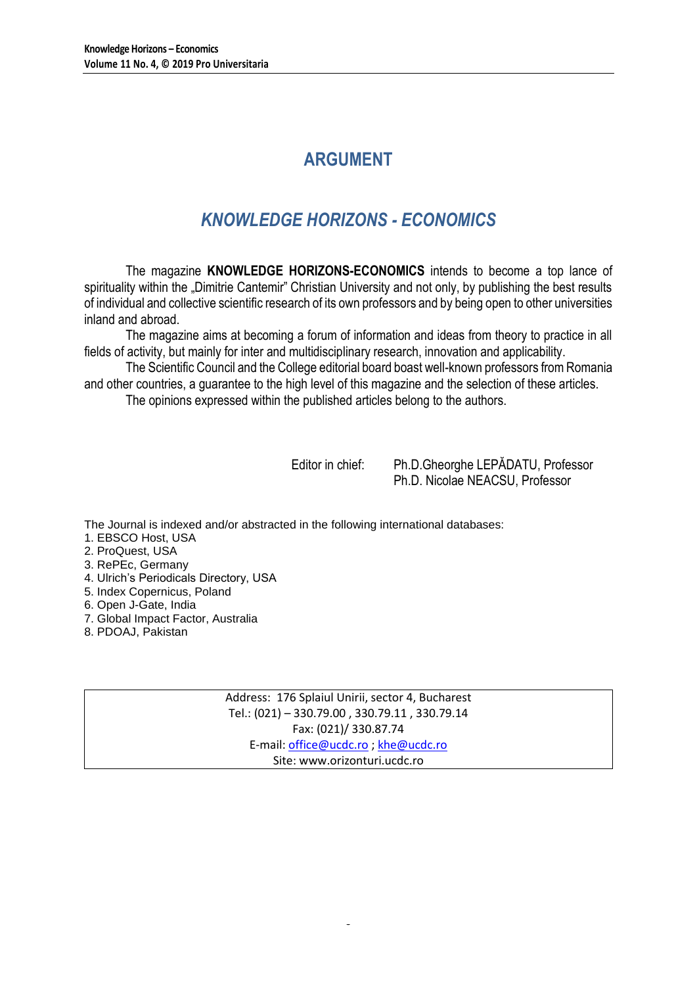# **ARGUMENT**

# *KNOWLEDGE HORIZONS - ECONOMICS*

The magazine **KNOWLEDGE HORIZONS-ECONOMICS** intends to become a top lance of spirituality within the "Dimitrie Cantemir" Christian University and not only, by publishing the best results of individual and collective scientific research of its own professors and by being open to other universities inland and abroad.

The magazine aims at becoming a forum of information and ideas from theory to practice in all fields of activity, but mainly for inter and multidisciplinary research, innovation and applicability.

The Scientific Council and the College editorial board boast well-known professors from Romania and other countries, a guarantee to the high level of this magazine and the selection of these articles.

The opinions expressed within the published articles belong to the authors.

Editor in chief: Ph.D.Gheorghe LEPĂDATU, Professor Ph.D. Nicolae NEACSU, Professor

The Journal is indexed and/or abstracted in the following international databases:

- 1. EBSCO Host, USA
- 2. ProQuest, USA
- 3. RePEc, Germany
- 4. Ulrich's Periodicals Directory, USA
- 5. Index Copernicus, Poland
- 6. Open J-Gate, India
- 7. Global Impact Factor, Australia
- 8. PDOAJ, Pakistan

Address: 176 Splaiul Unirii, sector 4, Bucharest Tel.: (021) – 330.79.00 , 330.79.11 , 330.79.14 Fax: (021)/ 330.87.74 E-mail[: office@ucdc.ro](mailto:office@ucdc.ro) [; khe@ucdc.ro](mailto:khe@ucdc.ro) Site: www.orizonturi.ucdc.ro

 $\overline{a}$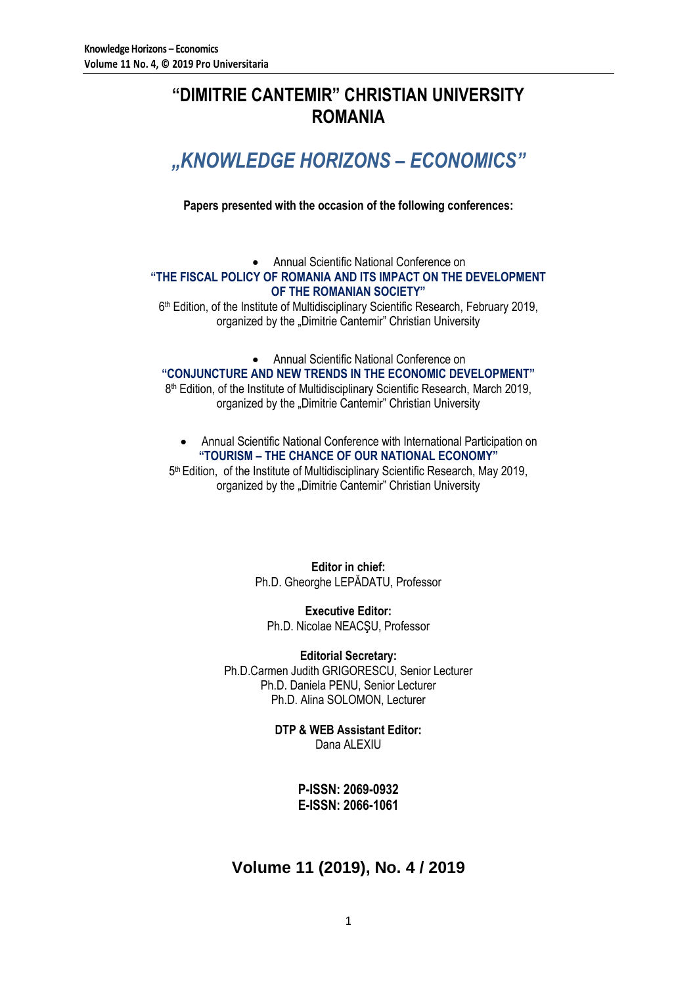## **"DIMITRIE CANTEMIR" CHRISTIAN UNIVERSITY ROMANIA**

# *"KNOWLEDGE HORIZONS – ECONOMICS"*

**Papers presented with the occasion of the following conferences:**

### Annual Scientific National Conference on **"THE FISCAL POLICY OF ROMANIA AND ITS IMPACT ON THE DEVELOPMENT OF THE ROMANIAN SOCIETY"**

6<sup>th</sup> Edition, of the Institute of Multidisciplinary Scientific Research, February 2019, organized by the "Dimitrie Cantemir" Christian University

Annual Scientific National Conference on

**"CONJUNCTURE AND NEW TRENDS IN THE ECONOMIC DEVELOPMENT"**

8<sup>th</sup> Edition, of the Institute of Multidisciplinary Scientific Research, March 2019, organized by the "Dimitrie Cantemir" Christian University

 Annual Scientific National Conference with International Participation on **"TOURISM – THE CHANCE OF OUR NATIONAL ECONOMY"**

5<sup>th</sup> Edition, of the Institute of Multidisciplinary Scientific Research, May 2019, organized by the "Dimitrie Cantemir" Christian University

> **Editor in chief:** Ph.D. Gheorghe LEPĂDATU, Professor

**Executive Editor:** Ph.D. Nicolae NEACŞU, Professor

**Editorial Secretary:** Ph.D.Carmen Judith GRIGORESCU, Senior Lecturer Ph.D. Daniela PENU, Senior Lecturer Ph.D. Alina SOLOMON, Lecturer

> **DTP & WEB Assistant Editor:** Dana ALEXIU

> > **P-ISSN: 2069-0932 E-ISSN: 2066-1061**

## **Volume 11 (2019), No. 4 / 2019**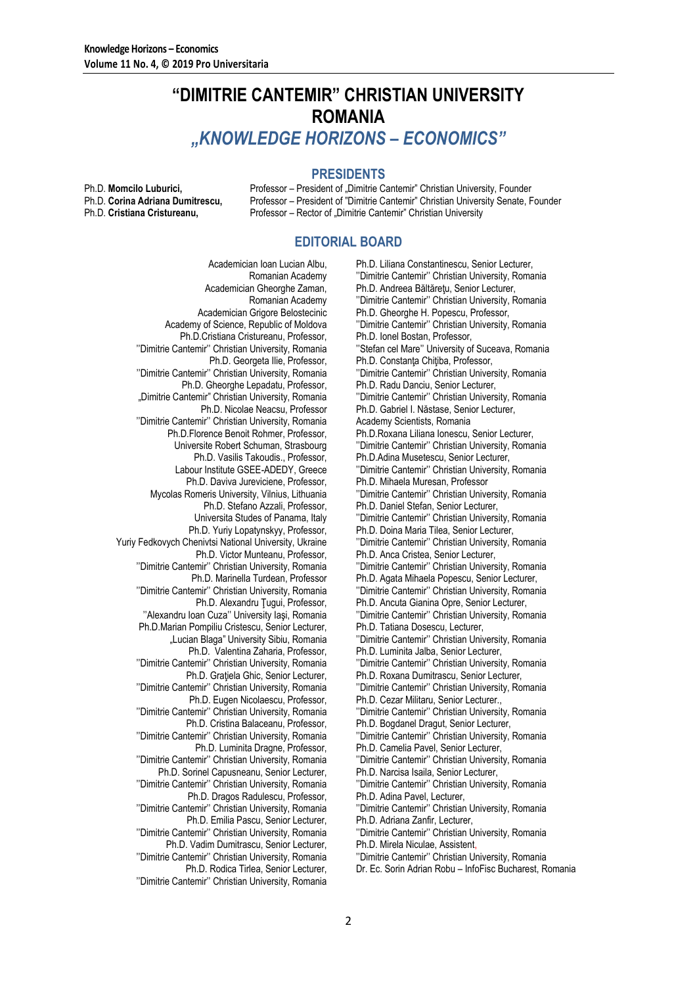## **"DIMITRIE CANTEMIR" CHRISTIAN UNIVERSITY ROMANIA** *"KNOWLEDGE HORIZONS – ECONOMICS"*

### **PRESIDENTS**

Ph.D. **Momcilo Luburici, Professor – President of "Dimitrie Cantemir" Christian University, Founder Ph.D. Corina Adriana Dumitrescu.** Professor – President of "Dimitrie Cantemir" Christian University Senate. F Professor – President of "Dimitrie Cantemir" Christian University Senate, Founder Ph.D. **Cristiana Cristureanu,** Professor – Rector of "Dimitrie Cantemir" Christian University

### **EDITORIAL BOARD**

Academician Ioan Lucian Albu, Romanian Academy Academician Gheorghe Zaman, Romanian Academy Academician Grigore Belostecinic Academy of Science, Republic of Moldova Ph.D.Cristiana Cristureanu, Professor, ''Dimitrie Cantemir'' Christian University, Romania Ph.D. Georgeta Ilie, Professor, ''Dimitrie Cantemir'' Christian University, Romania Ph.D. Gheorghe Lepadatu, Professor, "Dimitrie Cantemir" Christian University, Romania Ph.D. Nicolae Neacsu, Professor ''Dimitrie Cantemir'' Christian University, Romania Ph.D.Florence Benoit Rohmer, Professor, Universite Robert Schuman, Strasbourg Ph.D. Vasilis Takoudis., Professor, Labour Institute GSEE-ADEDY, Greece Ph.D. Daviva Jureviciene, Professor, Mycolas Romeris University, Vilnius, Lithuania Ph.D. Stefano Azzali, Professor, Universita Studes of Panama, Italy Ph.D. Yuriy Lopatynskyy, Professor, Yuriy Fedkovych Chenivtsi National University, Ukraine Ph.D. Victor Munteanu, Professor, ''Dimitrie Cantemir'' Christian University, Romania Ph.D. Marinella Turdean, Professor ''Dimitrie Cantemir'' Christian University, Romania Ph.D. Alexandru Ţugui, Professor, ''Alexandru Ioan Cuza'' University Iaşi, Romania Ph.D.Marian Pompiliu Cristescu, Senior Lecturer, "Lucian Blaga" University Sibiu, Romania Ph.D. Valentina Zaharia, Professor, ''Dimitrie Cantemir'' Christian University, Romania Ph.D. Grațiela Ghic, Senior Lecturer, ''Dimitrie Cantemir'' Christian University, Romania Ph.D. Eugen Nicolaescu, Professor, ''Dimitrie Cantemir'' Christian University, Romania Ph.D. Cristina Balaceanu, Professor, ''Dimitrie Cantemir'' Christian University, Romania Ph.D. Luminita Dragne, Professor, ''Dimitrie Cantemir'' Christian University, Romania Ph.D. Sorinel Capusneanu, Senior Lecturer, ''Dimitrie Cantemir'' Christian University, Romania Ph.D. Dragos Radulescu, Professor, ''Dimitrie Cantemir'' Christian University, Romania Ph.D. Emilia Pascu, Senior Lecturer, ''Dimitrie Cantemir'' Christian University, Romania Ph.D. Vadim Dumitrascu, Senior Lecturer, ''Dimitrie Cantemir'' Christian University, Romania

Ph.D. Rodica Tirlea, Senior Lecturer, ''Dimitrie Cantemir'' Christian University, Romania

Ph.D. Liliana Constantinescu, Senior Lecturer, ''Dimitrie Cantemir'' Christian University, Romania Ph.D. Andreea Băltăreţu, Senior Lecturer, ''Dimitrie Cantemir'' Christian University, Romania Ph.D. Gheorghe H. Popescu, Professor, ''Dimitrie Cantemir'' Christian University, Romania Ph.D. Ionel Bostan, Professor, ''Stefan cel Mare'' University of Suceava, Romania Ph.D. Constanța Chițiba, Professor, ''Dimitrie Cantemir'' Christian University, Romania Ph.D. Radu Danciu, Senior Lecturer, ''Dimitrie Cantemir'' Christian University, Romania Ph.D. Gabriel I. Năstase, Senior Lecturer, Academy Scientists, Romania Ph.D.Roxana Liliana Ionescu, Senior Lecturer, ''Dimitrie Cantemir'' Christian University, Romania Ph.D.Adina Musetescu, Senior Lecturer, ''Dimitrie Cantemir'' Christian University, Romania Ph.D. Mihaela Muresan, Professor ''Dimitrie Cantemir'' Christian University, Romania Ph.D. Daniel Stefan, Senior Lecturer, ''Dimitrie Cantemir'' Christian University, Romania Ph.D. Doina Maria Tilea, Senior Lecturer, ''Dimitrie Cantemir'' Christian University, Romania Ph.D. Anca Cristea, Senior Lecturer, ''Dimitrie Cantemir'' Christian University, Romania Ph.D. Agata Mihaela Popescu, Senior Lecturer, ''Dimitrie Cantemir'' Christian University, Romania Ph.D. Ancuta Gianina Opre, Senior Lecturer, ''Dimitrie Cantemir'' Christian University, Romania Ph.D. Tatiana Dosescu, Lecturer, ''Dimitrie Cantemir'' Christian University, Romania Ph.D. Luminita Jalba, Senior Lecturer, ''Dimitrie Cantemir'' Christian University, Romania Ph.D. Roxana Dumitrascu, Senior Lecturer, ''Dimitrie Cantemir'' Christian University, Romania Ph.D. Cezar Militaru, Senior Lecturer., ''Dimitrie Cantemir'' Christian University, Romania Ph.D. Bogdanel Dragut, Senior Lecturer, ''Dimitrie Cantemir'' Christian University, Romania Ph.D. Camelia Pavel, Senior Lecturer, ''Dimitrie Cantemir'' Christian University, Romania Ph.D. Narcisa Isaila, Senior Lecturer, ''Dimitrie Cantemir'' Christian University, Romania Ph.D. Adina Pavel, Lecturer, ''Dimitrie Cantemir'' Christian University, Romania Ph.D. Adriana Zanfir, Lecturer, ''Dimitrie Cantemir'' Christian University, Romania Ph.D. Mirela Niculae, Assistent,

''Dimitrie Cantemir'' Christian University, Romania

Dr. Ec. Sorin Adrian Robu – InfoFisc Bucharest, Romania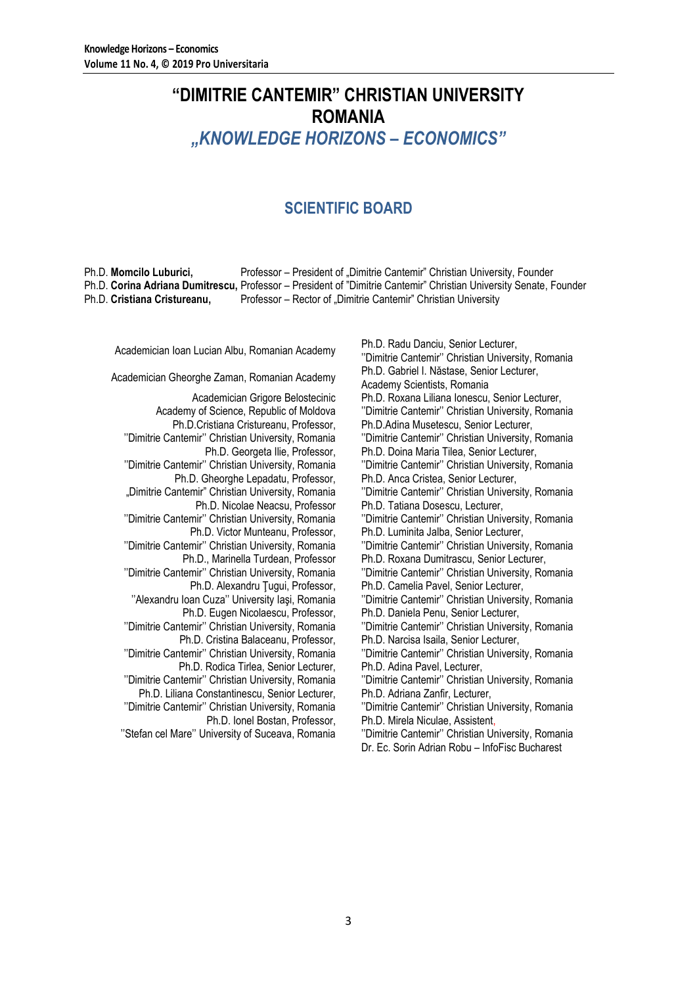## **"DIMITRIE CANTEMIR" CHRISTIAN UNIVERSITY ROMANIA** *"KNOWLEDGE HORIZONS – ECONOMICS"*

## **SCIENTIFIC BOARD**

Ph.D. **Momcilo Luburici,** Professor – President of "Dimitrie Cantemir" Christian University, Founder Ph.D. **Corina Adriana Dumitrescu,** Professor – President of "Dimitrie Cantemir" Christian University Senate, Founder Ph.D. **Cristiana Cristureanu,** Professor – Rector of "Dimitrie Cantemir" Christian University

Academician Grigore Belostecinic Academy of Science, Republic of Moldova Ph.D.Cristiana Cristureanu, Professor, ''Dimitrie Cantemir'' Christian University, Romania Ph.D. Georgeta Ilie, Professor, ''Dimitrie Cantemir'' Christian University, Romania Ph.D. Gheorghe Lepadatu, Professor, "Dimitrie Cantemir" Christian University, Romania Ph.D. Nicolae Neacsu, Professor ''Dimitrie Cantemir'' Christian University, Romania Ph.D. Victor Munteanu, Professor, ''Dimitrie Cantemir'' Christian University, Romania Ph.D., Marinella Turdean, Professor ''Dimitrie Cantemir'' Christian University, Romania Ph.D. Alexandru Tugui, Professor, ''Alexandru Ioan Cuza'' University Iaşi, Romania Ph.D. Eugen Nicolaescu, Professor, ''Dimitrie Cantemir'' Christian University, Romania Ph.D. Cristina Balaceanu, Professor, ''Dimitrie Cantemir'' Christian University, Romania Ph.D. Rodica Tirlea, Senior Lecturer, ''Dimitrie Cantemir'' Christian University, Romania Ph.D. Liliana Constantinescu, Senior Lecturer, ''Dimitrie Cantemir'' Christian University, Romania Ph.D. Ionel Bostan, Professor, ''Stefan cel Mare'' University of Suceava, Romania

Academician Ioan Lucian Albu, Romanian Academy<br>
Ph.D. Radu Danciu, Senior Lecturer, Academy Philippine University Orgination University ''Dimitrie Cantemir'' Christian University, Romania Academician Gheorghe Zaman, Romanian Academy Ph.D. Gabriel I. Năstase, Senior Lecturer, Academy Scientists, Romania Ph.D. Roxana Liliana Ionescu, Senior Lecturer, ''Dimitrie Cantemir'' Christian University, Romania Ph.D.Adina Musetescu, Senior Lecturer, ''Dimitrie Cantemir'' Christian University, Romania Ph.D. Doina Maria Tilea, Senior Lecturer, ''Dimitrie Cantemir'' Christian University, Romania Ph.D. Anca Cristea, Senior Lecturer, ''Dimitrie Cantemir'' Christian University, Romania Ph.D. Tatiana Dosescu, Lecturer, ''Dimitrie Cantemir'' Christian University, Romania Ph.D. Luminita Jalba, Senior Lecturer, ''Dimitrie Cantemir'' Christian University, Romania Ph.D. Roxana Dumitrascu, Senior Lecturer, ''Dimitrie Cantemir'' Christian University, Romania Ph.D. Camelia Pavel, Senior Lecturer, ''Dimitrie Cantemir'' Christian University, Romania Ph.D. Daniela Penu, Senior Lecturer, ''Dimitrie Cantemir'' Christian University, Romania Ph.D. Narcisa Isaila, Senior Lecturer, ''Dimitrie Cantemir'' Christian University, Romania Ph.D. Adina Pavel, Lecturer, ''Dimitrie Cantemir'' Christian University, Romania Ph.D. Adriana Zanfir, Lecturer, ''Dimitrie Cantemir'' Christian University, Romania Ph.D. Mirela Niculae, Assistent,

''Dimitrie Cantemir'' Christian University, Romania Dr. Ec. Sorin Adrian Robu – InfoFisc Bucharest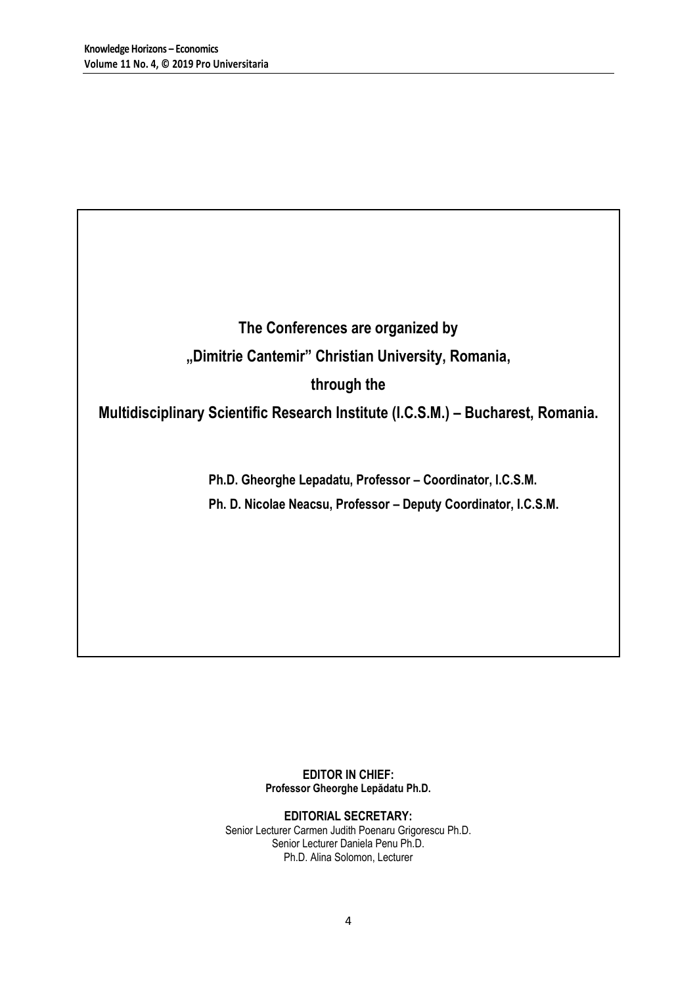**The Conferences are organized by "Dimitrie Cantemir" Christian University, Romania, through the** 

**Multidisciplinary Scientific Research Institute (I.C.S.M.) – Bucharest, Romania.**

**Ph.D. Gheorghe Lepadatu, Professor – Coordinator, I.C.S.M. Ph. D. Nicolae Neacsu, Professor – Deputy Coordinator, I.C.S.M.**

> **EDITOR IN CHIEF: Professor Gheorghe Lepădatu Ph.D.**

**EDITORIAL SECRETARY:** Senior Lecturer Carmen Judith Poenaru Grigorescu Ph.D. Senior Lecturer Daniela Penu Ph.D. Ph.D. Alina Solomon, Lecturer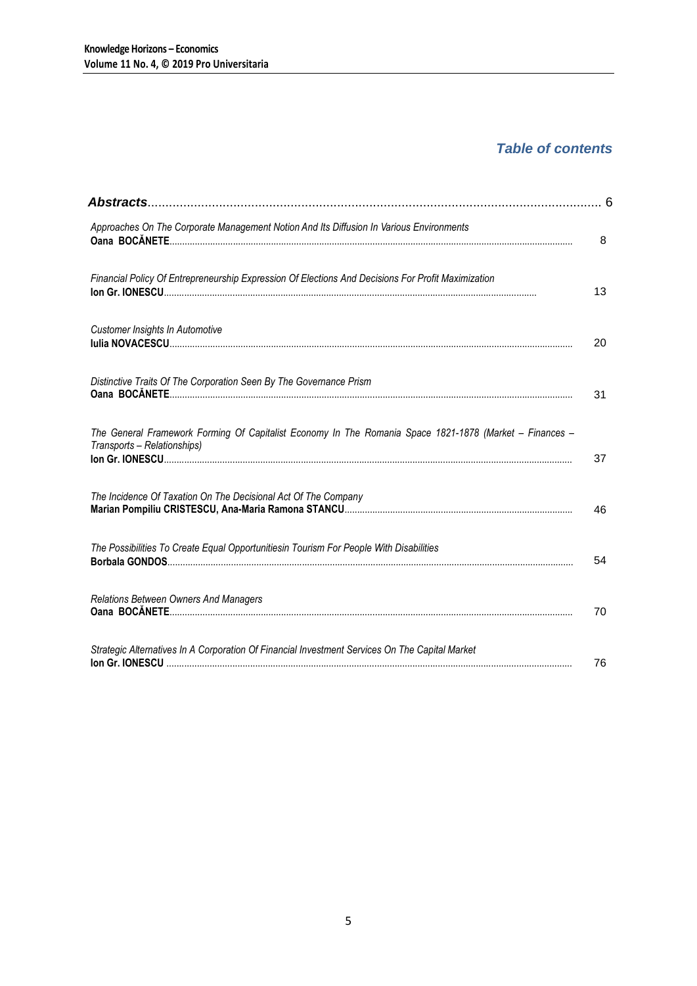## *Table of contents*

| Approaches On The Corporate Management Notion And Its Diffusion In Various Environments                                                | 8  |
|----------------------------------------------------------------------------------------------------------------------------------------|----|
| Financial Policy Of Entrepreneurship Expression Of Elections And Decisions For Profit Maximization                                     | 13 |
| Customer Insights In Automotive                                                                                                        | 20 |
| Distinctive Traits Of The Corporation Seen By The Governance Prism                                                                     | 31 |
| The General Framework Forming Of Capitalist Economy In The Romania Space 1821-1878 (Market - Finances -<br>Transports - Relationships) | 37 |
| The Incidence Of Taxation On The Decisional Act Of The Company                                                                         | 46 |
| The Possibilities To Create Equal Opportunitiesin Tourism For People With Disabilities                                                 | 54 |
| Relations Between Owners And Managers                                                                                                  | 70 |
| Strategic Alternatives In A Corporation Of Financial Investment Services On The Capital Market                                         | 76 |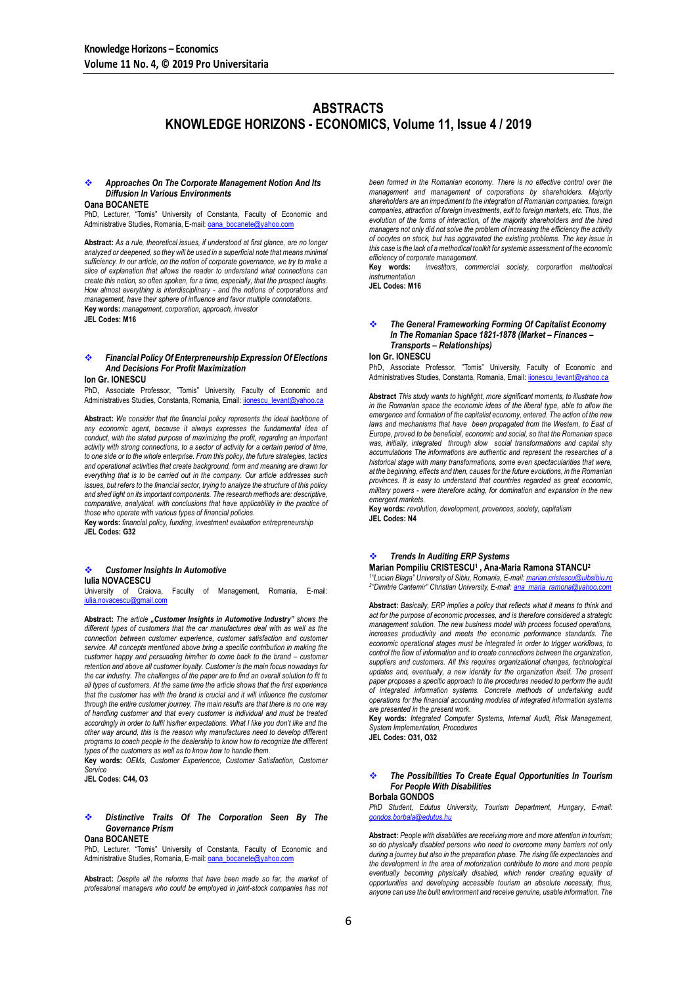## **ABSTRACTS KNOWLEDGE HORIZONS - ECONOMICS, Volume 11, Issue 4 / 2019**

#### *Approaches On The Corporate Management Notion And Its Diffusion In Various Environments*

#### **Oana BOCANETE**

PhD, Lecturer, "Tomis" University of Constanta, Faculty of Economic and Administrative Studies, Romania, E-mail: **oana\_bocanete@** 

**Abstract:** *As a rule, theoretical issues, if understood at first glance, are no longer analyzed or deepened, so they will be used in a superficial note that means minimal sufficiency. In our article, on the notion of corporate governance, we try to make a slice of explanation that allows the reader to understand what connections can create this notion, so often spoken, for a time, especially, that the prospect laughs. How almost everything is interdisciplinary - and the notions of corporations and management, have their sphere of influence and favor multiple connotations.* **Key words:** *management, corporation, approach, investor* **JEL Codes: M16**

#### *Financial Policy Of Enterpreneurship Expression Of Elections And Decisions For Profit Maximization*

#### **Ion Gr. IONESCU**

PhD, Associate Professor, "Tomis" University, Faculty of Economic and Administratives Studies, Constanta, Romania, Email: ijonescu\_levant@yahoo.ca

**Abstract:** *We consider that the financial policy represents the ideal backbone of any economic agent, because it always expresses the fundamental idea of conduct, with the stated purpose of maximizing the profit, regarding an important activity with strong connections, to a sector of activity for a certain period of time, to one side or to the whole enterprise. From this policy, the future strategies, tactics and operational activities that create background, form and meaning are drawn for everything that is to be carried out in the company. Our article addresses such issues, but refers to the financial sector, trying to analyze the structure of this policy and shed light on its important components. The research methods are: descriptive, comparative, analytical. with conclusions that have applicability in the practice of those who operate with various types of financial policies.*

**Key words:** *financial policy, funding, investment evaluation entrepreneurship* **JEL Codes: G32**

#### *Customer Insights In Automotive* **Iulia NOVACESCU**

University of Craiova, Faculty of Management, Romania, E-mail: iulia.novacescu@gmail.com

**Abstract:** *The article "Customer Insights in Automotive Industry" shows the different types of customers that the car manufactures deal with as well as the connection between customer experience, customer satisfaction and customer service. All concepts mentioned above bring a specific contribution in making the customer happy and persuading him/her to come back to the brand – customer retention and above all customer loyalty. Customer is the main focus nowadays for the car industry. The challenges of the paper are to find an overall solution to fit to all types of customers. At the same time the article shows that the first experience that the customer has with the brand is crucial and it will influence the customer through the entire customer journey. The main results are that there is no one way of handling customer and that every customer is individual and must be treated*  accordingly in order to fulfil his/her expectations. What I like you don't like and the *other way around, this is the reason why manufactures need to develop different programs to coach people in the dealership to know how to recognize the different types of the customers as well as to know how to handle them.*

**Key words:** *OEMs, Customer Experiencce, Customer Satisfaction, Customer Service*

**JEL Codes: C44, O3**

#### *Distinctive Traits Of The Corporation Seen By The Governance Prism* **Oana BOCANETE**

PhD, Lecturer, "Tomis" University of Constanta, Faculty of Economic and Administrative Studies, Romania, E-mail[: oana\\_bocanete@yahoo.com](mailto:oana_bocanete@yahoo.com)

**Abstract:** *Despite all the reforms that have been made so far, the market of professional managers who could be employed in joint-stock companies has not* 

*been formed in the Romanian economy. There is no effective control over the management and management of corporations by shareholders. Majority shareholders are an impediment to the integration of Romanian companies, foreign companies, attraction of foreign investments, exit to foreign markets, etc. Thus, the evolution of the forms of interaction, of the majority shareholders and the hired managers not only did not solve the problem of increasing the efficiency the activity of oocytes on stock, but has aggravated the existing problems. The key issue in this case is the lack of a methodical toolkit for systemic assessment of the economic efficiency of corporate management.*

**Key words:** *investitors, commercial society, corporartion methodical instrumentation*

**JEL Codes: M16**

#### *The General Frameworking Forming Of Capitalist Economy In The Romanian Space 1821-1878 (Market – Finances – Transports – Relationships)*

#### **Ion Gr. IONESCU**

PhD, Associate Professor, "Tomis" University, Faculty of Economic and Administratives Studies, Constanta, Romania, Email: ionescu\_levant@yahoo.ca

**Abstract** *This study wants to highlight, more significant moments, to illustrate how*  in the Romanian space the economic ideas of the liberal type, able to allow the *emergence and formation of the capitalist economy, entered. The action of the new laws and mechanisms that have been propagated from the Western, to East of Europe, proved to be beneficial, economic and social, so that the Romanian space was, initially, integrated through slow social transformations and capital shy accumulations The informations are authentic and represent the researches of a historical stage with many transformations, some even spectacularities that were, at the beginning, effects and then, causes for the future evolutions, in the Romanian provinces. It is easy to understand that countries regarded as great economic, military powers - were therefore acting, for domination and expansion in the new emergent markets.*

**Key words:** *revolution, development, provences, society, capitalism* **JEL Codes: N4**

### *Trends In Auditing ERP Systems*

**Marian Pompiliu CRISTESCU<sup>1</sup> , Ana-Maria Ramona STANCU<sup>2</sup>**

*1 "Lucian Blaga" University of Sibiu, Romania, E-mail[: marian.cristescu@ulbsibiu.ro](mailto:marian.cristescu@ulbsibiu.ro) 2 "Dimitrie Cantemir" Christian University, E-mail[: ana\\_maria\\_ramona@yahoo.com](mailto:ana_maria_ramona@yahoo.com)*

**Abstract:** *Basically, ERP implies a policy that reflects what it means to think and act for the purpose of economic processes, and is therefore considered a strategic management solution. The new business model with process focused operations,*  increases productivity and meets the economic performance standards. The *economic operational stages must be integrated in order to trigger workflows, to control the flow of information and to create connections between the organization, suppliers and customers. All this requires organizational changes, technological*  updates and, eventually, a new identity for the organization itself. The present paper proposes a specific approach to the procedures needed to perform the audit *of integrated information systems. Concrete methods of undertaking audit operations for the financial accounting modules of integrated information systems are presented in the present work.*

**Key words:** *Integrated Computer Systems, Internal Audit, Risk Management, System Implementation, Procedures*

**JEL Codes: O31, O32**

#### *The Possibilities To Create Equal Opportunities In Tourism For People With Disabilities* **Borbala GONDOS**

*PhD Student, Edutus University, Tourism Department, Hungary, E-mail: [gondos.borbala@edutus.hu](mailto:gondos.borbala@edutus.hu)*

**Abstract:** *People with disabilities are receiving more and more attention in tourism; so do physically disabled persons who need to overcome many barriers not only during a journey but also in the preparation phase. The rising life expectancies and the development in the area of motorization contribute to more and more people eventually becoming physically disabled, which render creating equality of opportunities and developing accessible tourism an absolute necessity, thus, anyone can use the built environment and receive genuine, usable information. The*